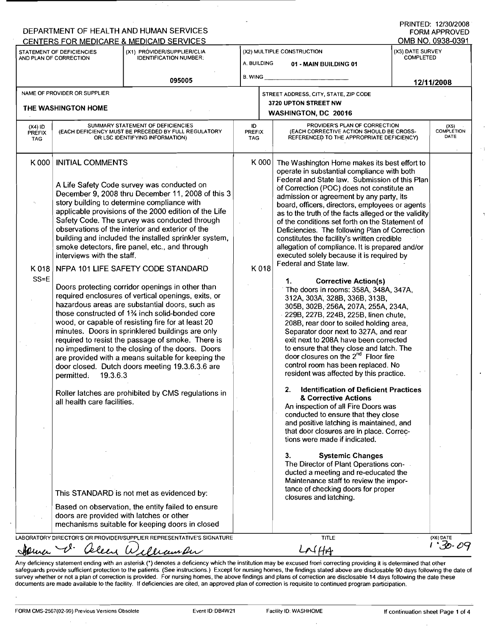| STATEMENT OF DEFICIENCIES<br>AND PLAN OF CORRECTION                   |                                                                                                                                                                                                                                                                                                                                                                                                                                                                                                                                                                                                                                                                                                                                                                                                                                                                                                                                                                                     | (X1) PROVIDER/SUPPLIER/CLIA<br><b>IDENTIFICATION NUMBER:</b>                                                                                                                                                                                         | (X2) MULTIPLE CONSTRUCTION<br>A. BUILDING<br>01 - MAIN BUILDING 01 |                                                                                                                                                                                                                                                                                                                                                                                                                                                                                                                                                                                                                                                                                                                                                                                                                                                                                                                                                                                                                                                                     | (X3) DATE SURVEY<br><b>COMPLETED</b> |                                   |
|-----------------------------------------------------------------------|-------------------------------------------------------------------------------------------------------------------------------------------------------------------------------------------------------------------------------------------------------------------------------------------------------------------------------------------------------------------------------------------------------------------------------------------------------------------------------------------------------------------------------------------------------------------------------------------------------------------------------------------------------------------------------------------------------------------------------------------------------------------------------------------------------------------------------------------------------------------------------------------------------------------------------------------------------------------------------------|------------------------------------------------------------------------------------------------------------------------------------------------------------------------------------------------------------------------------------------------------|--------------------------------------------------------------------|---------------------------------------------------------------------------------------------------------------------------------------------------------------------------------------------------------------------------------------------------------------------------------------------------------------------------------------------------------------------------------------------------------------------------------------------------------------------------------------------------------------------------------------------------------------------------------------------------------------------------------------------------------------------------------------------------------------------------------------------------------------------------------------------------------------------------------------------------------------------------------------------------------------------------------------------------------------------------------------------------------------------------------------------------------------------|--------------------------------------|-----------------------------------|
|                                                                       |                                                                                                                                                                                                                                                                                                                                                                                                                                                                                                                                                                                                                                                                                                                                                                                                                                                                                                                                                                                     | 095005                                                                                                                                                                                                                                               | B. WING                                                            |                                                                                                                                                                                                                                                                                                                                                                                                                                                                                                                                                                                                                                                                                                                                                                                                                                                                                                                                                                                                                                                                     | 12/11/2008                           |                                   |
| NAME OF PROVIDER OR SUPPLIER                                          |                                                                                                                                                                                                                                                                                                                                                                                                                                                                                                                                                                                                                                                                                                                                                                                                                                                                                                                                                                                     |                                                                                                                                                                                                                                                      |                                                                    | STREET ADDRESS, CITY, STATE, ZIP CODE                                                                                                                                                                                                                                                                                                                                                                                                                                                                                                                                                                                                                                                                                                                                                                                                                                                                                                                                                                                                                               |                                      |                                   |
| THE WASHINGTON HOME                                                   |                                                                                                                                                                                                                                                                                                                                                                                                                                                                                                                                                                                                                                                                                                                                                                                                                                                                                                                                                                                     |                                                                                                                                                                                                                                                      |                                                                    | 3720 UPTON STREET NW<br>WASHINGTON, DC 20016                                                                                                                                                                                                                                                                                                                                                                                                                                                                                                                                                                                                                                                                                                                                                                                                                                                                                                                                                                                                                        |                                      |                                   |
| $(X4)$ ID<br><b>PREFIX</b><br><b>TAG</b>                              |                                                                                                                                                                                                                                                                                                                                                                                                                                                                                                                                                                                                                                                                                                                                                                                                                                                                                                                                                                                     | SUMMARY STATEMENT OF DEFICIENCIES<br>(EACH DEFICIENCY MUST BE PRECEDED BY FULL REGULATORY<br>OR LSC IDENTIFYING INFORMATION)                                                                                                                         | ID<br><b>PREFIX</b><br><b>TAG</b>                                  | PROVIDER'S PLAN OF CORRECTION<br>(EACH CORRECTIVE ACTION SHOULD BE CROSS-<br>REFERENCED TO THE APPROPRIATE DEFICIENCY)                                                                                                                                                                                                                                                                                                                                                                                                                                                                                                                                                                                                                                                                                                                                                                                                                                                                                                                                              |                                      | (X5)<br><b>COMPLETION</b><br>DATE |
| K 018<br>$SS=E$<br>are provided with a means suitable for keeping the | K000   INITIAL COMMENTS<br>A Life Safety Code survey was conducted on<br>December 9, 2008 thru December 11, 2008 of this 3<br>story building to determine compliance with<br>applicable provisions of the 2000 edition of the Life<br>Safety Code. The survey was conducted through<br>observations of the interior and exterior of the<br>building and included the installed sprinkler system,<br>smoke detectors, fire panel, etc., and through<br>interviews with the staff.<br>NFPA 101 LIFE SAFETY CODE STANDARD<br>Doors protecting corridor openings in other than<br>required enclosures of vertical openings, exits, or<br>hazardous areas are substantial doors, such as<br>those constructed of 1 <sup>3</sup> / <sub>4</sub> inch solid-bonded core<br>wood, or capable of resisting fire for at least 20<br>minutes. Doors in sprinklered buildings are only<br>required to resist the passage of smoke. There is<br>no impediment to the closing of the doors. Doors |                                                                                                                                                                                                                                                      |                                                                    | K 000<br>The Washington Home makes its best effort to<br>operate in substantial compliance with both<br>Federal and State law. Submission of this Plan<br>of Correction (POC) does not constitute an<br>admission or agreement by any party, its<br>board, officers, directors, employees or agents<br>as to the truth of the facts alleged or the validity<br>of the conditions set forth on the Statement of<br>Deficiencies. The following Plan of Correction<br>constitutes the facility's written credible<br>allegation of compliance. It is prepared and/or<br>executed solely because it is required by<br>Federal and State law.<br><b>Corrective Action(s)</b><br>1.<br>The doors in rooms: 358A, 348A, 347A,<br>312A, 303A, 328B, 336B, 313B,<br>305B, 302B, 256A, 207A, 255A, 234A,<br>229B, 227B, 224B, 225B, linen chute,<br>208B, rear door to soiled holding area,<br>Separator door next to 327A, and rear<br>exit next to 208A have been corrected<br>to ensure that they close and latch. The<br>door closures on the 2 <sup>nd</sup> Floor fire |                                      |                                   |
|                                                                       | 19.3.6.3<br>permitted.<br>all health care facilities.                                                                                                                                                                                                                                                                                                                                                                                                                                                                                                                                                                                                                                                                                                                                                                                                                                                                                                                               | door closed. Dutch doors meeting 19.3.6.3.6 are<br>Roller latches are prohibited by CMS regulations in<br>This STANDARD is not met as evidenced by:<br>Based on observation, the entity failed to ensure<br>doors are provided with latches or other |                                                                    | control room has been replaced. No<br>resident was affected by this practice.<br><b>Identification of Deficient Practices</b><br>2.<br>& Corrective Actions<br>An inspection of all Fire Doors was<br>conducted to ensure that they close<br>and positive latching is maintained, and<br>that door closures are in place. Correc-<br>tions were made if indicated.<br><b>Systemic Changes</b><br>З.<br>The Director of Plant Operations con-<br>ducted a meeting and re-educated the<br>Maintenance staff to review the impor-<br>tance of checking doors for proper<br>closures and latching.                                                                                                                                                                                                                                                                                                                                                                                                                                                                      |                                      |                                   |

Any deficiency statement ending with an asterisk (\*) denotes a deficiency which the institution may be excused from correcting providing it is determined that other<br>safeguards provide sufficient protection to the patients. survey whether or not a plan of correction is provided. For nursing homes, the above findings and plans of correction are disclosable 14 days following the date these documents are made available to the facility. If deficiencies are cited, an approved plan of correction is requisite to continued program participation.

ò,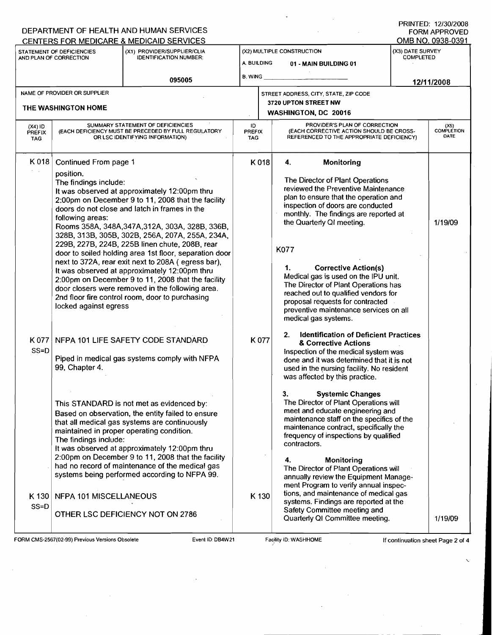|                                                                                                                                                                 |                                                                                                                                                                                                                                                                                                                                                                                                                                                                                                                                                                                                                                                                                                                                                                                    | DEPARTMENT OF HEALTH AND HUMAN SERVICES                                                                                                                                                                                                                                                                                                                                                                                                                                                        |                                                                                                                                                                                                                                                                                                                                                                                                                                                                                                        |         |                                                                                                                                                                                                                                                                                                                                                                                                                                                                                                                                                                                                                                                                                                      |            | PRINTED: 12/30/2008<br><b>FORM APPROVED</b> |
|-----------------------------------------------------------------------------------------------------------------------------------------------------------------|------------------------------------------------------------------------------------------------------------------------------------------------------------------------------------------------------------------------------------------------------------------------------------------------------------------------------------------------------------------------------------------------------------------------------------------------------------------------------------------------------------------------------------------------------------------------------------------------------------------------------------------------------------------------------------------------------------------------------------------------------------------------------------|------------------------------------------------------------------------------------------------------------------------------------------------------------------------------------------------------------------------------------------------------------------------------------------------------------------------------------------------------------------------------------------------------------------------------------------------------------------------------------------------|--------------------------------------------------------------------------------------------------------------------------------------------------------------------------------------------------------------------------------------------------------------------------------------------------------------------------------------------------------------------------------------------------------------------------------------------------------------------------------------------------------|---------|------------------------------------------------------------------------------------------------------------------------------------------------------------------------------------------------------------------------------------------------------------------------------------------------------------------------------------------------------------------------------------------------------------------------------------------------------------------------------------------------------------------------------------------------------------------------------------------------------------------------------------------------------------------------------------------------------|------------|---------------------------------------------|
| CENTERS FOR MEDICARE & MEDICAID SERVICES<br>(X1) PROVIDER/SUPPLIER/CLIA<br>STATEMENT OF DEFICIENCIES<br><b>IDENTIFICATION NUMBER:</b><br>AND PLAN OF CORRECTION |                                                                                                                                                                                                                                                                                                                                                                                                                                                                                                                                                                                                                                                                                                                                                                                    | (X2) MULTIPLE CONSTRUCTION<br>A. BUILDING<br>01 - MAIN BUILDING 01                                                                                                                                                                                                                                                                                                                                                                                                                             |                                                                                                                                                                                                                                                                                                                                                                                                                                                                                                        |         | OMB NO. 0938-0391<br>(X3) DATE SURVEY<br><b>COMPLETED</b>                                                                                                                                                                                                                                                                                                                                                                                                                                                                                                                                                                                                                                            |            |                                             |
|                                                                                                                                                                 | 095005                                                                                                                                                                                                                                                                                                                                                                                                                                                                                                                                                                                                                                                                                                                                                                             |                                                                                                                                                                                                                                                                                                                                                                                                                                                                                                | <b>B. WING</b>                                                                                                                                                                                                                                                                                                                                                                                                                                                                                         |         |                                                                                                                                                                                                                                                                                                                                                                                                                                                                                                                                                                                                                                                                                                      | 12/11/2008 |                                             |
| NAME OF PROVIDER OR SUPPLIER<br>THE WASHINGTON HOME                                                                                                             |                                                                                                                                                                                                                                                                                                                                                                                                                                                                                                                                                                                                                                                                                                                                                                                    |                                                                                                                                                                                                                                                                                                                                                                                                                                                                                                | STREET ADDRESS, CITY, STATE, ZIP CODE<br>3720 UPTON STREET NW<br>WASHINGTON, DC 20016                                                                                                                                                                                                                                                                                                                                                                                                                  |         |                                                                                                                                                                                                                                                                                                                                                                                                                                                                                                                                                                                                                                                                                                      |            |                                             |
| $(X4)$ ID<br><b>PREFIX</b><br><b>TAG</b>                                                                                                                        |                                                                                                                                                                                                                                                                                                                                                                                                                                                                                                                                                                                                                                                                                                                                                                                    | SUMMARY STATEMENT OF DEFICIENCIES<br>(EACH DEFICIENCY MUST BE PRECEDED BY FULL REGULATORY<br>OR LSC IDENTIFYING INFORMATION)                                                                                                                                                                                                                                                                                                                                                                   | ID<br><b>PREFIX</b><br>TAG.                                                                                                                                                                                                                                                                                                                                                                                                                                                                            |         | PROVIDER'S PLAN OF CORRECTION<br>(EACH CORRECTIVE ACTION SHOULD BE CROSS-<br>REFERENCED TO THE APPROPRIATE DEFICIENCY)                                                                                                                                                                                                                                                                                                                                                                                                                                                                                                                                                                               |            | (X5)<br>COMPLETION<br>DATE                  |
| K 018                                                                                                                                                           | Continued From page 1<br>K018<br>4.<br>position.<br>The findings include:<br>It was observed at approximately 12:00pm thru<br>2:00pm on December 9 to 11, 2008 that the facility<br>doors do not close and latch in frames in the<br>following areas:<br>Rooms 358A, 348A, 347A, 312A, 303A, 328B, 336B,<br>328B, 313B, 305B, 302B, 256A, 207A, 255A, 234A,<br>229B, 227B, 224B, 225B linen chute, 208B, rear<br>K077<br>door to soiled holding area 1st floor, separation door<br>next to 372A, rear exit next to 208A (egress bar),<br>1.<br>It was observed at approximately 12:00pm thru<br>2:00pm on December 9 to 11, 2008 that the facility<br>door closers were removed in the following area.<br>2nd floor fire control room, door to purchasing<br>locked against egress |                                                                                                                                                                                                                                                                                                                                                                                                                                                                                                | Monitoring<br>The Director of Plant Operations<br>reviewed the Preventive Maintenance<br>plan to ensure that the operation and<br>inspection of doors are conducted<br>monthly. The findings are reported at<br>the Quarterly QI meeting.<br><b>Corrective Action(s)</b><br>Medical gas is used on the IPU unit.<br>The Director of Plant Operations has<br>reached out to qualified vendors for<br>proposal requests for contracted<br>preventive maintenance services on all<br>medical gas systems. | 1/19/09 |                                                                                                                                                                                                                                                                                                                                                                                                                                                                                                                                                                                                                                                                                                      |            |                                             |
| K 077<br>$SS = D$<br>K 130                                                                                                                                      | 99, Chapter 4.<br>The findings include:<br>NFPA 101 MISCELLANEOUS                                                                                                                                                                                                                                                                                                                                                                                                                                                                                                                                                                                                                                                                                                                  | NFPA 101 LIFE SAFETY CODE STANDARD<br>Piped in medical gas systems comply with NFPA<br>This STANDARD is not met as evidenced by:<br>Based on observation, the entity failed to ensure<br>that all medical gas systems are continuously<br>maintained in proper operating condition.<br>It was observed at approximately 12:00pm thru<br>2:00pm on December 9 to 11, 2008 that the facility<br>had no record of maintenance of the medical gas<br>systems being performed according to NFPA 99. |                                                                                                                                                                                                                                                                                                                                                                                                                                                                                                        | K077    | <b>Identification of Deficient Practices</b><br>2.<br>& Corrective Actions<br>Inspection of the medical system was<br>done and it was determined that it is not<br>used in the nursing facility. No resident<br>was affected by this practice.<br>3.<br><b>Systemic Changes</b><br>The Director of Plant Operations will<br>meet and educate engineering and<br>maintenance staff on the specifics of the<br>maintenance contract, specifically the<br>frequency of inspections by qualified<br>contractors.<br>4.<br>Monitoring<br>The Director of Plant Operations will<br>annually review the Equipment Manage-<br>ment Program to verify annual inspec-<br>tions, and maintenance of medical gas |            |                                             |
| $SS = D$                                                                                                                                                        |                                                                                                                                                                                                                                                                                                                                                                                                                                                                                                                                                                                                                                                                                                                                                                                    | OTHER LSC DEFICIENCY NOT ON 2786                                                                                                                                                                                                                                                                                                                                                                                                                                                               | K 130<br>systems. Findings are reported at the<br>Safety Committee meeting and<br>Quarterly QI Committee meeting.                                                                                                                                                                                                                                                                                                                                                                                      |         |                                                                                                                                                                                                                                                                                                                                                                                                                                                                                                                                                                                                                                                                                                      |            | 1/19/09                                     |

 $\overline{a}$ 

 $\mathcal{L}_{\mathcal{A}}$ 

FORM CMS-2567(02-99) Previous Versions Obsolete Event ID:DB4W21 Facility ID:WASHHOME If continuation sheet Page 2 of 4

 $\bar{z}$ 

 $\hat{\boldsymbol{\beta}}$ 

 $\ddot{\phantom{1}}$ 

 $\hat{\boldsymbol{\beta}}$ 

J,

 $\sim$ 

 $\mathcal{L}$ 

 $\bar{\mathbf{v}}$ 

ä,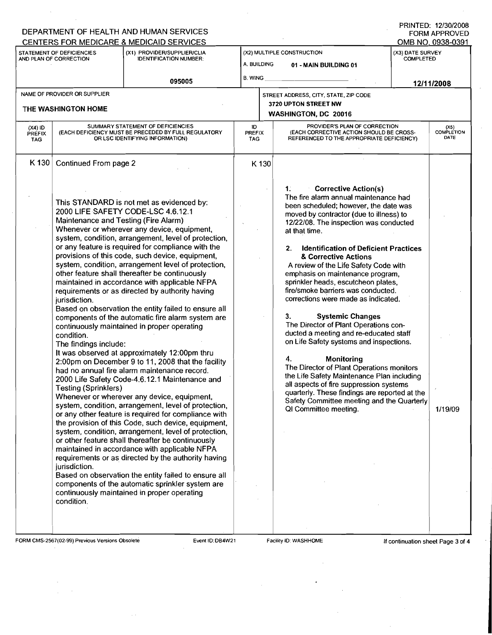| CENTERS FOR MEDICARE & MEDICAID SERVICES<br>STATEMENT OF DEFICIENCIES<br>AND PLAN OF CORRECTION |                                                                                                                                                            | (X1) PROVIDER/SUPPLIER/CLIA<br><b>IDENTIFICATION NUMBER:</b>                                                                                                                                                                                                                                                                                                                                                                                                                                                                                                                                                                                                                                                                                                                                                                                                                                                                                                                                                                                                                                                                                                                                                                                                                                                                                                                                                                                                                             | (X2) MULTIPLE CONSTRUCTION<br>A. BUILDING<br>01 - MAIN BUILDING 01 |                                                                                                                                                                                                                                                                                                                                                                                                                                                                                                                                                                                                                                                                                                                                                                                                                                                                                                                                                        | (X3) DATE SURVEY<br><b>COMPLETED</b> | OMB NO. 0938-0391          |  |
|-------------------------------------------------------------------------------------------------|------------------------------------------------------------------------------------------------------------------------------------------------------------|------------------------------------------------------------------------------------------------------------------------------------------------------------------------------------------------------------------------------------------------------------------------------------------------------------------------------------------------------------------------------------------------------------------------------------------------------------------------------------------------------------------------------------------------------------------------------------------------------------------------------------------------------------------------------------------------------------------------------------------------------------------------------------------------------------------------------------------------------------------------------------------------------------------------------------------------------------------------------------------------------------------------------------------------------------------------------------------------------------------------------------------------------------------------------------------------------------------------------------------------------------------------------------------------------------------------------------------------------------------------------------------------------------------------------------------------------------------------------------------|--------------------------------------------------------------------|--------------------------------------------------------------------------------------------------------------------------------------------------------------------------------------------------------------------------------------------------------------------------------------------------------------------------------------------------------------------------------------------------------------------------------------------------------------------------------------------------------------------------------------------------------------------------------------------------------------------------------------------------------------------------------------------------------------------------------------------------------------------------------------------------------------------------------------------------------------------------------------------------------------------------------------------------------|--------------------------------------|----------------------------|--|
|                                                                                                 |                                                                                                                                                            | 095005                                                                                                                                                                                                                                                                                                                                                                                                                                                                                                                                                                                                                                                                                                                                                                                                                                                                                                                                                                                                                                                                                                                                                                                                                                                                                                                                                                                                                                                                                   | <b>B. WING</b>                                                     |                                                                                                                                                                                                                                                                                                                                                                                                                                                                                                                                                                                                                                                                                                                                                                                                                                                                                                                                                        |                                      | 12/11/2008                 |  |
|                                                                                                 | NAME OF PROVIDER OR SUPPLIER<br>THE WASHINGTON HOME                                                                                                        |                                                                                                                                                                                                                                                                                                                                                                                                                                                                                                                                                                                                                                                                                                                                                                                                                                                                                                                                                                                                                                                                                                                                                                                                                                                                                                                                                                                                                                                                                          |                                                                    | STREET ADDRESS, CITY, STATE, ZIP CODE<br>3720 UPTON STREET NW<br>WASHINGTON, DC 20016                                                                                                                                                                                                                                                                                                                                                                                                                                                                                                                                                                                                                                                                                                                                                                                                                                                                  |                                      |                            |  |
| $(X4)$ ID<br><b>PREFIX</b><br><b>TAG</b>                                                        |                                                                                                                                                            | SUMMARY STATEMENT OF DEFICIENCIES<br>(EACH DEFICIENCY MUST BE PRECEDED BY FULL REGULATORY<br>OR LSC IDENTIFYING INFORMATION)                                                                                                                                                                                                                                                                                                                                                                                                                                                                                                                                                                                                                                                                                                                                                                                                                                                                                                                                                                                                                                                                                                                                                                                                                                                                                                                                                             | ID.<br><b>PREFIX</b><br><b>TAG</b>                                 | PROVIDER'S PLAN OF CORRECTION<br>(EACH CORRECTIVE ACTION SHOULD BE CROSS-<br>REFERENCED TO THE APPROPRIATE DEFICIENCY)                                                                                                                                                                                                                                                                                                                                                                                                                                                                                                                                                                                                                                                                                                                                                                                                                                 |                                      | (X5)<br>COMPLETION<br>DATE |  |
| $K$ 130                                                                                         | Continued From page 2                                                                                                                                      |                                                                                                                                                                                                                                                                                                                                                                                                                                                                                                                                                                                                                                                                                                                                                                                                                                                                                                                                                                                                                                                                                                                                                                                                                                                                                                                                                                                                                                                                                          | K 130                                                              |                                                                                                                                                                                                                                                                                                                                                                                                                                                                                                                                                                                                                                                                                                                                                                                                                                                                                                                                                        |                                      |                            |  |
|                                                                                                 | Maintenance and Testing (Fire Alarm)<br>jurisdiction.<br>condition.<br>The findings include:<br><b>Testing (Sprinklers)</b><br>jurisdiction.<br>condition. | This STANDARD is not met as evidenced by:<br>2000 LIFE SAFETY CODE-LSC 4.6.12.1<br>Whenever or wherever any device, equipment,<br>system, condition, arrangement, level of protection,<br>or any feature is required for compliance with the<br>provisions of this code, such device, equipment,<br>system, condition, arrangement level of protection,<br>other feature shall thereafter be continuously<br>maintained in accordance with applicable NFPA<br>requirements or as directed by authority having<br>Based on observation the entity failed to ensure all<br>components of the automatic fire alarm system are<br>continuously maintained in proper operating<br>It was observed at approximately 12:00pm thru<br>2:00pm on December 9 to 11, 2008 that the facility<br>had no annual fire alarm maintenance record.<br>2000 Life Safety Code-4.6.12.1 Maintenance and<br>Whenever or wherever any device, equipment,<br>system, condition, arrangement, level of protection,<br>or any other feature is required for compliance with<br>the provision of this Code, such device, equipment,<br>system, condition, arrangement, level of protection,<br>or other feature shall thereafter be continuously<br>maintained in accordance with applicable NFPA<br>requirements or as directed by the authority having<br>Based on observation the entity failed to ensure all<br>components of the automatic sprinkler system are<br>continuously maintained in proper operating |                                                                    | <b>Corrective Action(s)</b><br>1.<br>The fire alarm annual maintenance had<br>been scheduled; however, the date was<br>moved by contractor (due to illness) to<br>12/22/08. The inspection was conducted<br>at that time.<br>2. Identification of Deficient Practices<br>& Corrective Actions<br>A review of the Life Safety Code with<br>emphasis on maintenance program,<br>sprinkler heads, escutcheon plates,<br>fire/smoke barriers was conducted.<br>corrections were made as indicated.<br><b>Systemic Changes</b><br>3.<br>The Director of Plant Operations con-<br>ducted a meeting and re-educated staff<br>on Life Safety systems and inspections.<br>4.<br><b>Monitoring</b><br>The Director of Plant Operations monitors<br>the Life Safety Maintenance Plan including<br>all aspects of fire suppression systems<br>quarterly. These findings are reported at the<br>Safety Committee meeting and the Quarterly<br>QI Committee meeting. |                                      | 1/19/09                    |  |

 $\hat{\mathcal{A}}$ 

 $\sim 100$ 

 $\sim 10^7$ 

 $\Delta \sim 20$ 

 $\mathcal{A}^{\mathcal{A}}$ 

 $\sim 10$ 

 $\hat{\boldsymbol{\beta}}$ 

 $\sim$ 

 $\bar{\beta}$ 

 $\ddot{\phantom{a}}$ 

 $\hat{\boldsymbol{\gamma}}$ 

 $\mathcal{A}$ 

 $\sim$  1

 $\bar{\mathcal{A}}$ 

 $\mathcal{L}^{\mathcal{L}}$